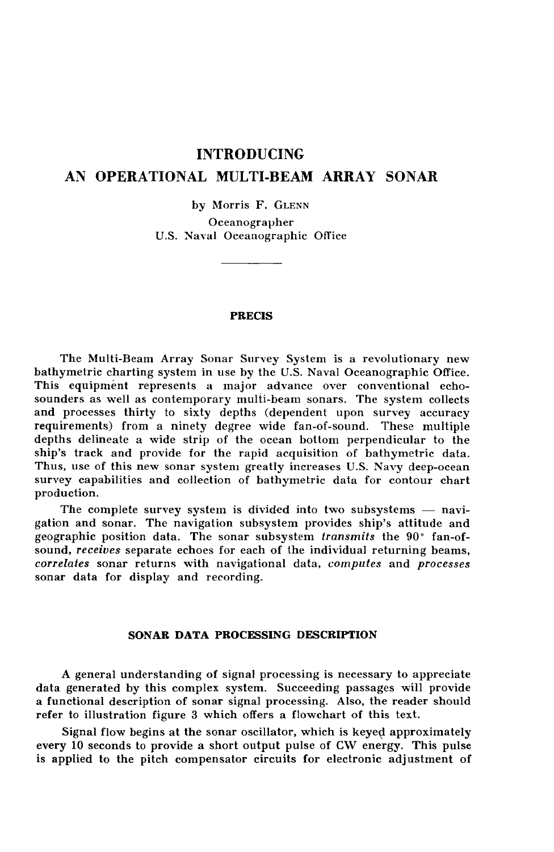## **INTRODUCING**

## **AN OPERATIONAL MULTI-BEAM ARRAY SONAR**

by Morris F. GLENN Oceanographer U.S. Naval Oceanographic Office

**PRECIS**

The Multi-Beam Array Sonar Survey System is a revolutionary new bathymetric charting system in use by the U.S. Naval Oceanographic Office. This equipment represents a major advance over conventional echosounders as well as contemporary multi-beam sonars. The system collects and processes thirty to sixty depths (dependent upon survey accuracy requirements) from a ninety degree wide fan-of-sound. These multiple depths delineate a wide strip of the ocean bottom perpendicular to the ship's track and provide for the rapid acquisition of bathymetric data. Thus, use of this new sonar system greatly increases U.S. Navy deep-ocean survey capabilities and collection of bathymetric data for contour chart production.

The complete survey system is divided into two subsystems — navigation and sonar. The navigation subsystem provides ship's attitude and geographic position data. The sonar subsystem *transmits* the 90° fan-ofsound, *receives* separate echoes for each of the individual returning beams, *correlates* sonar returns with navigational data, *computes* and *processes* sonar data for display and recording.

## **SONAR DATA PROCESSING DESCRIPTION**

A general understanding of signal processing is necessary to appreciate data generated by this complex system. Succeeding passages will provide a functional description of sonar signal processing. Also, the reader should refer to illustration figure 3 which offers a flowchart of this text.

Signal flow begins at the sonar oscillator, which is keyed approximately every 10 seconds to provide a short output pulse of CW energy. This pulse is applied to the pitch compensator circuits for electronic adjustment of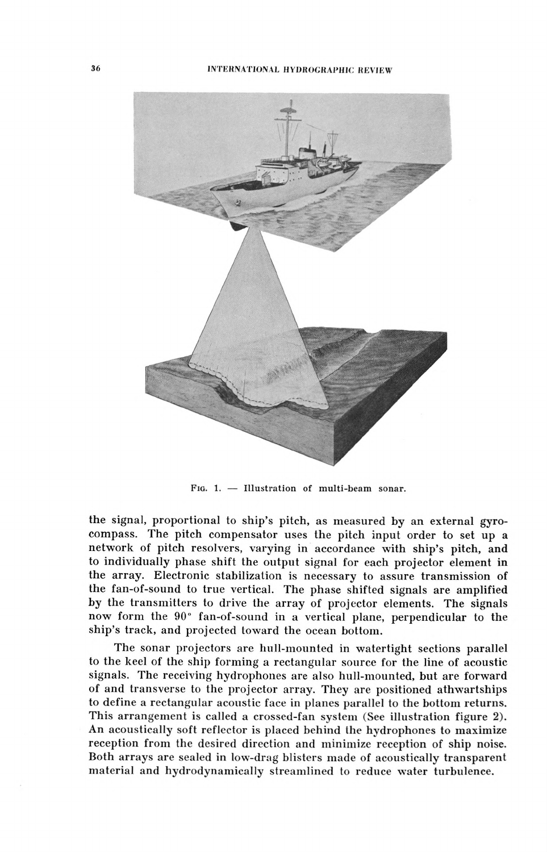

FIG. 1.  $-$  Illustration of multi-beam sonar.

the signal, proportional to ship's pitch, as measured by an external gyrocompass. The pitch compensator uses the pitch input order to set up a network of pitch resolvers, varying in accordance with ship's pitch, and to individually phase shift the output signal for each projector element in the array. Electronic stabilization is necessary to assure transmission of the fan-of-sound to true vertical. The phase shifted signals are amplified by the transmitters to drive the array of projector elements. The signals now form the 90" fan-of-sound in a vertical plane, perpendicular to the ship's track, and projected toward the ocean bottom.

The sonar projectors are hull-mounted in watertight sections parallel to the keel of the ship forming a rectangular source for the line of acoustic signals. The receiving hydrophones are also hull-mounted, but are forward of and transverse to the projector array. They are positioned athwartships to define a rectangular acoustic face in planes parallel to the bottom returns. This arrangement is called a crossed-fan system (See illustration figure 2). An acoustically soft reflector is placed behind Ihe hydrophones to maximize reception from the desired direction and minimize reception of ship noise. Both arrays are sealed in low-drag blisters made of acoustically transparent material and hydrodynamically streamlined to reduce water turbulence.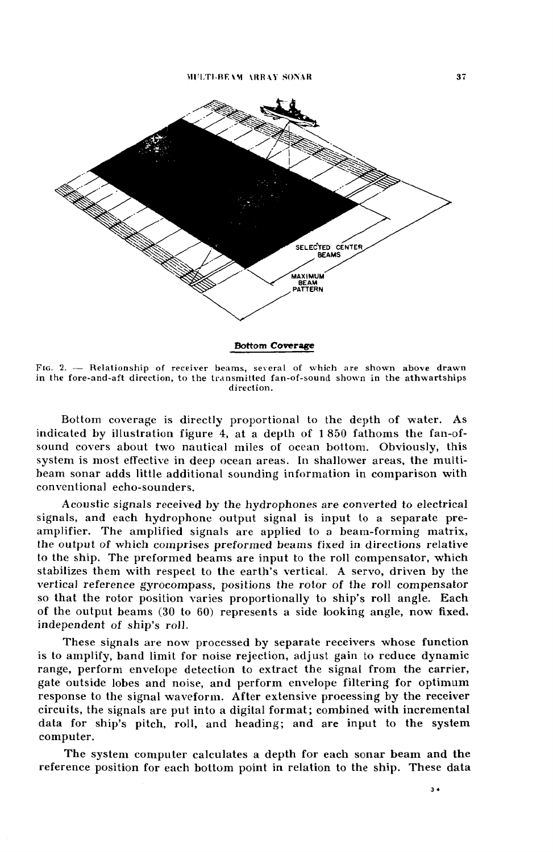

FIG. 2. - Relationship of receiver beams, several of which are shown above drawn in the fore-and-aft direction, to the transmitted fan-of-sound shown in the athwartships direction.

Bottom coverage is directly proportional to the depth of water. As indicated by illustration figure 4, at a depth of 1 850 fathoms the fan-ofsound covers about two nautical miles of ocean bottom. Obviously, this system is most effective in deep ocean areas. In shallower areas, the multibeam sonar adds little additional sounding information in comparison with conventional echo-sounders.

Acoustic signals received by the hydrophones are converted to electrical signals, and each hydrophone output signal is input to a separate preamplifier. The amplified signals are applied to a beam-forming matrix, the output of which comprises preformed beams fixed in directions relative to the ship. The preformed beams are input to the roll compensator, which stabilizes them with respect to the earth's vertical. A servo, driven by the vertical reference gyrocompass, positions the rotor of the roll compensator so that the rotor position varies proportionally to ship's roll angle. Each of the output beams  $(30 \text{ to } 60)$  represents a side looking angle, now fixed, independent of ship's roll.

These signals are now processed by separate receivers whose function is to amplify, band limit for noise rejection, adjust gain to reduce dynamic range, perform envelope detection to extract the signal from the carrier, gate outside lobes and noise, and perform envelope filtering for optimum response to the signal waveform. After extensive processing by the receiver circuits, the signals are put into a digital format; combined with incremental data for ship's pitch, roll, and heading; and are input to the system computer.

The system computer calculates a depth for each sonar beam and the reference position for each bottom point in relation to the ship. These data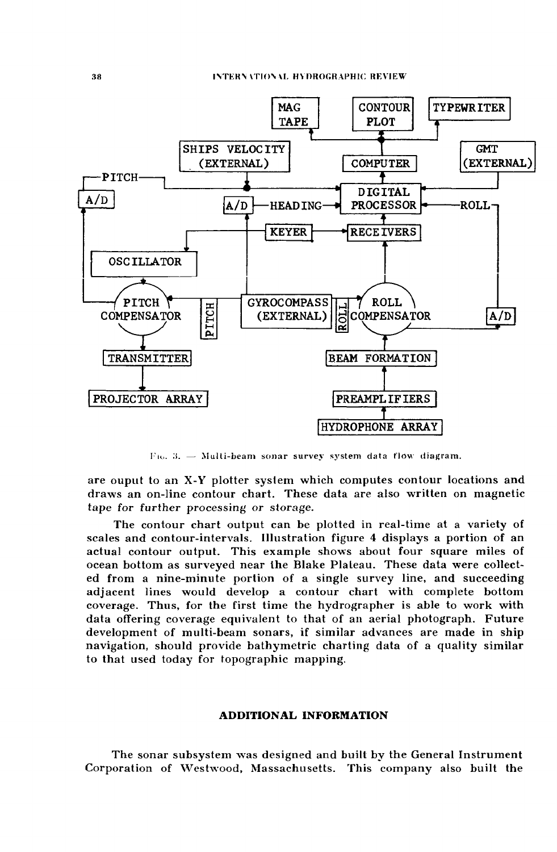

 $F$ io. 3. - Multi-beam sonar survey system data flow diagram.

are ouput to an X-Y plotter system which computes contour locations and draws an on-line contour chart. These data are also written on magnetic tape for further processing or storage.

The contour chart output can be plotted in real-time at a variety of scales and contour-intervals. Illustration figure 4 displays a portion of an actual contour output. This example shows about four square miles of ocean bottom as surveyed near the Blake Plateau. These data were collected from a nine-minute portion of a single survey line, and succeeding adjacent lines would develop a contour chart with complete bottom coverage. Thus, for the first time the hydrographer is able to work with data offering coverage equivalent to that of an aerial photograph. Future development of multi-beam sonars, if similar advances are made in ship navigation, should provide bathymetric charting data of a quality similar to that used today for topographic mapping.

## **ADDITIONAL INFORMATION**

The sonar subsystem was designed and built by the General Instrument Corporation of Westwood, Massachusetts. This company also built the